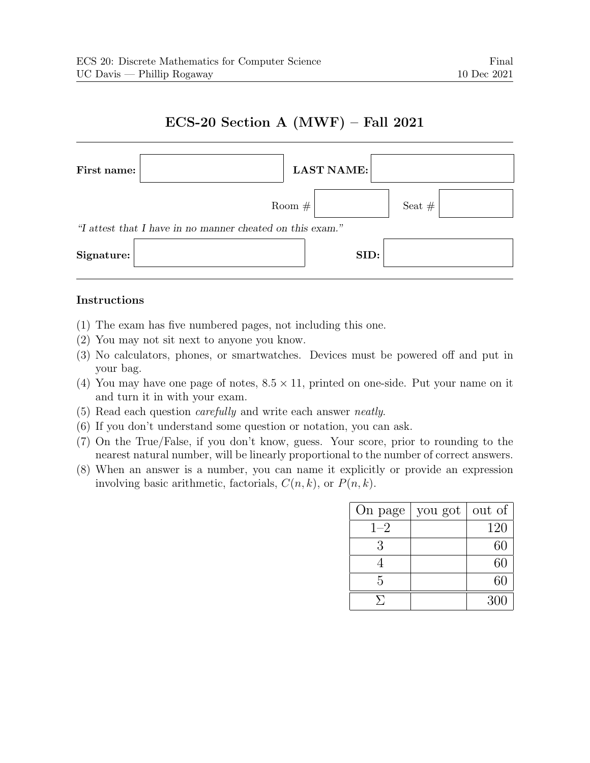## ECS-20 Section A (MWF) – Fall 2021



## Instructions

- (1) The exam has five numbered pages, not including this one.
- (2) You may not sit next to anyone you know.
- (3) No calculators, phones, or smartwatches. Devices must be powered off and put in your bag.
- (4) You may have one page of notes,  $8.5 \times 11$ , printed on one-side. Put your name on it and turn it in with your exam.
- (5) Read each question carefully and write each answer neatly.
- (6) If you don't understand some question or notation, you can ask.
- (7) On the True/False, if you don't know, guess. Your score, prior to rounding to the nearest natural number, will be linearly proportional to the number of correct answers.
- (8) When an answer is a number, you can name it explicitly or provide an expression involving basic arithmetic, factorials,  $C(n, k)$ , or  $P(n, k)$ .

| On page | you got | out of |
|---------|---------|--------|
| $1 - 2$ |         | 120    |
| 3       |         | 60     |
|         |         | 60     |
| 5       |         | 60     |
| ⋟       |         | 300    |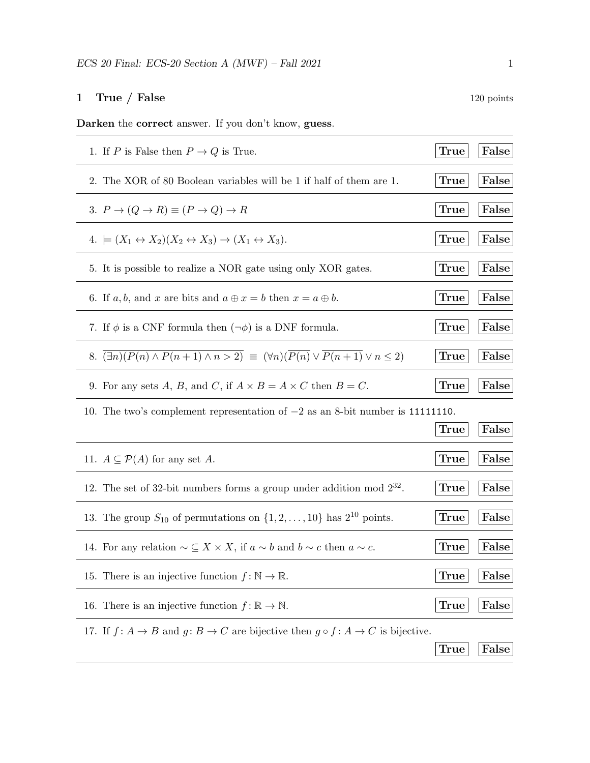## 1 True / False 120 points

Darken the correct answer. If you don't know, guess.

| 1. If P is False then $P \to Q$ is True.                                                                                              | <b>True</b> | False |
|---------------------------------------------------------------------------------------------------------------------------------------|-------------|-------|
| 2. The XOR of 80 Boolean variables will be 1 if half of them are 1.                                                                   | True        | False |
| 3. $P \rightarrow (Q \rightarrow R) \equiv (P \rightarrow Q) \rightarrow R$                                                           | True        | False |
| 4. $\models (X_1 \leftrightarrow X_2)(X_2 \leftrightarrow X_3) \rightarrow (X_1 \leftrightarrow X_3).$                                | True        | False |
| 5. It is possible to realize a NOR gate using only XOR gates.                                                                         | <b>True</b> | False |
| 6. If a, b, and x are bits and $a \oplus x = b$ then $x = a \oplus b$ .                                                               | True        | False |
| 7. If $\phi$ is a CNF formula then $(\neg \phi)$ is a DNF formula.                                                                    | True        | False |
| 8. $\overline{(\exists n)(P(n) \wedge P(n+1) \wedge n > 2)} \equiv (\forall n)(\overline{P(n)} \vee \overline{P(n+1)} \vee n \leq 2)$ | True        | False |
| 9. For any sets A, B, and C, if $A \times B = A \times C$ then $B = C$ .                                                              | <b>True</b> | False |
| 10. The two's complement representation of $-2$ as an 8-bit number is 111111110.                                                      |             |       |
|                                                                                                                                       |             |       |
|                                                                                                                                       | True        | False |
| 11. $A \subseteq \mathcal{P}(A)$ for any set A.                                                                                       | True        | False |
| 12. The set of 32-bit numbers forms a group under addition mod $2^{32}$ .                                                             | <b>True</b> | False |
| 13. The group $S_{10}$ of permutations on $\{1, 2, \ldots, 10\}$ has $2^{10}$ points.                                                 | True        | False |
| 14. For any relation $\sim \subseteq X \times X$ , if $a \sim b$ and $b \sim c$ then $a \sim c$ .                                     | <b>True</b> | False |
| 15. There is an injective function $f : \mathbb{N} \to \mathbb{R}$ .                                                                  | <b>True</b> | False |
| 16. There is an injective function $f: \mathbb{R} \to \mathbb{N}$ .                                                                   | True        | False |
| 17. If $f: A \to B$ and $g: B \to C$ are bijective then $g \circ f: A \to C$ is bijective.                                            |             |       |
|                                                                                                                                       | True        | False |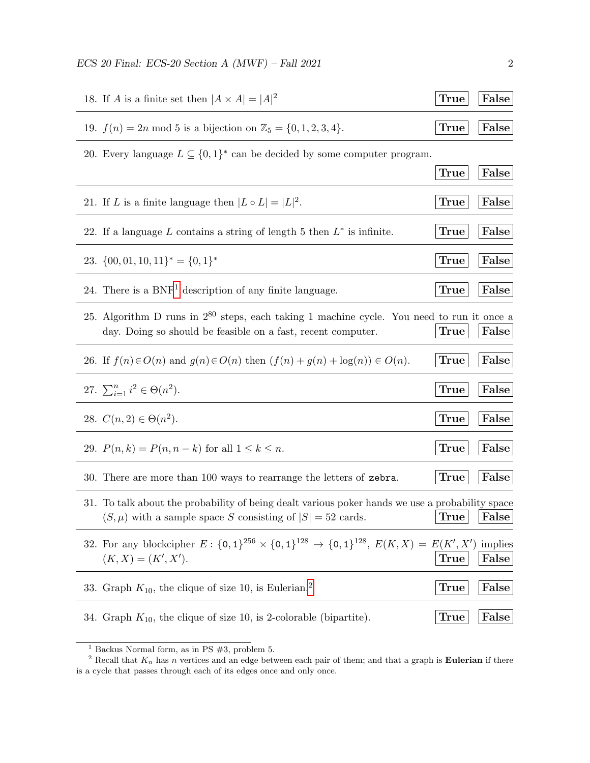$\text{ECS 20 Final: } \text{ECS-20 Section A (MWF) - Fall 2021}$  2

| 18. If A is a finite set then $ A \times A  =  A ^2$                                                                                                             | <b>True</b> | False            |
|------------------------------------------------------------------------------------------------------------------------------------------------------------------|-------------|------------------|
| 19. $f(n) = 2n \mod 5$ is a bijection on $\mathbb{Z}_5 = \{0, 1, 2, 3, 4\}.$                                                                                     | True        | False            |
| 20. Every language $L \subseteq \{0,1\}^*$ can be decided by some computer program.                                                                              |             |                  |
|                                                                                                                                                                  | True        | False            |
| 21. If L is a finite language then $ L \circ L  =  L ^2$ .                                                                                                       | <b>True</b> | False            |
| 22. If a language L contains a string of length 5 then $L^*$ is infinite.                                                                                        | True        | False            |
| 23. $\{00, 01, 10, 11\}^* = \{0, 1\}^*$                                                                                                                          | <b>True</b> | False            |
| 24. There is a $BNF1$ description of any finite language.                                                                                                        | <b>True</b> | False            |
| 25. Algorithm D runs in $2^{80}$ steps, each taking 1 machine cycle. You need to run it once a<br>day. Doing so should be feasible on a fast, recent computer.   | True        | False            |
| 26. If $f(n) \in O(n)$ and $g(n) \in O(n)$ then $(f(n) + g(n) + \log(n)) \in O(n)$ .                                                                             | True        | False            |
| 27. $\sum_{i=1}^{n} i^2 \in \Theta(n^2)$ .                                                                                                                       | True        | False            |
| 28. $C(n, 2) \in \Theta(n^2)$ .                                                                                                                                  | <b>True</b> | False            |
| 29. $P(n,k) = P(n, n - k)$ for all $1 \le k \le n$ .                                                                                                             | <b>True</b> | False            |
| 30. There are more than 100 ways to rearrange the letters of zebra.                                                                                              | <b>True</b> | False            |
| 31. To talk about the probability of being dealt various poker hands we use a probability space<br>$(S,\mu)$ with a sample space S consisting of $ S =52$ cards. | True        | $ {\rm False} $  |
| 32. For any blockcipher $E: \{0,1\}^{256} \times \{0,1\}^{128} \rightarrow \{0,1\}^{128}, E(K,X) = E(K',X')$<br>$(K, X) = (K', X').$                             | <b>True</b> | implies<br>False |
| 33. Graph $K_{10}$ , the clique of size 10, is Eulerian. <sup>2</sup>                                                                                            | <b>True</b> | False            |
| 34. Graph $K_{10}$ , the clique of size 10, is 2-colorable (bipartite).                                                                                          | True        | False            |

<span id="page-2-1"></span><span id="page-2-0"></span><sup>&</sup>lt;sup>1</sup> Backus Normal form, as in PS  $#3$ , problem 5.

<sup>&</sup>lt;sup>2</sup> Recall that  $K_n$  has n vertices and an edge between each pair of them; and that a graph is **Eulerian** if there is a cycle that passes through each of its edges once and only once.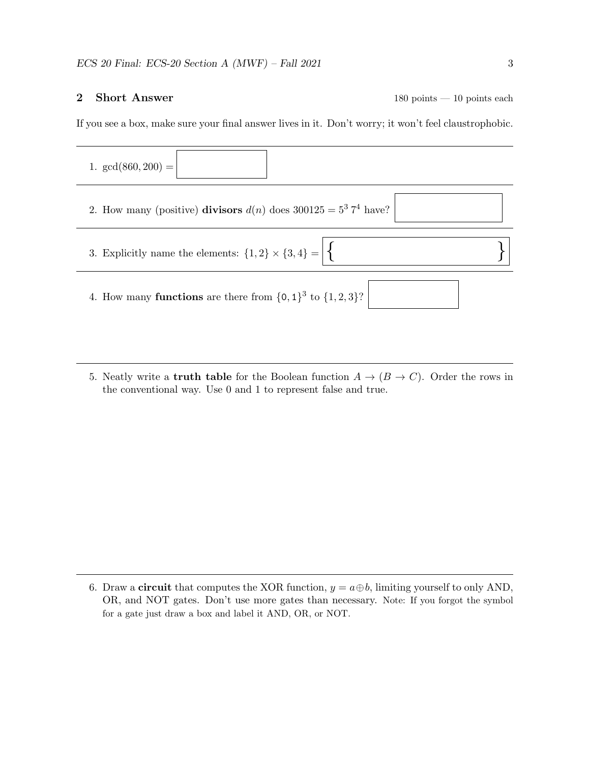2 Short Answer 180 points — 10 points each

If you see a box, make sure your final answer lives in it. Don't worry; it won't feel claustrophobic.



5. Neatly write a **truth table** for the Boolean function  $A \rightarrow (B \rightarrow C)$ . Order the rows in the conventional way. Use 0 and 1 to represent false and true.

6. Draw a **circuit** that computes the XOR function,  $y = a \oplus b$ , limiting yourself to only AND, OR, and NOT gates. Don't use more gates than necessary. Note: If you forgot the symbol for a gate just draw a box and label it AND, OR, or NOT.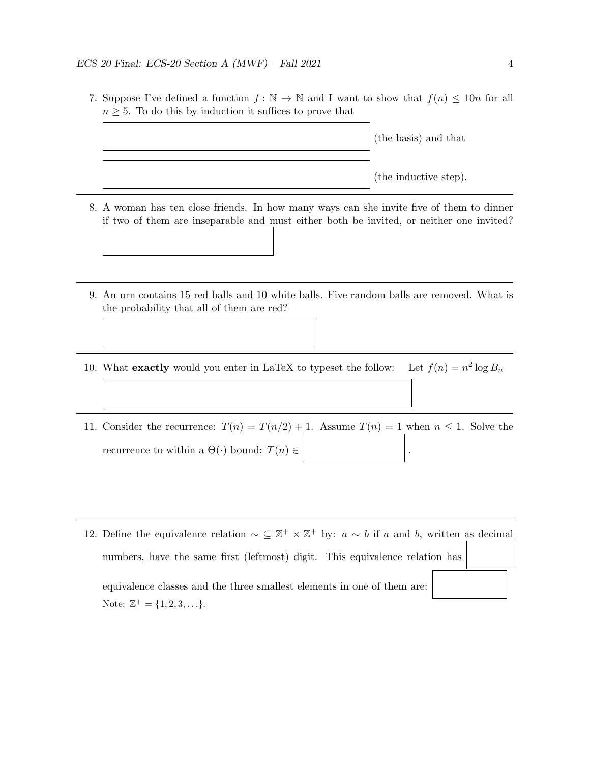7. Suppose I've defined a function  $f: \mathbb{N} \to \mathbb{N}$  and I want to show that  $f(n) \leq 10n$  for all  $n \geq 5$ . To do this by induction it suffices to prove that



- 8. A woman has ten close friends. In how many ways can she invite five of them to dinner if two of them are inseparable and must either both be invited, or neither one invited?
- 9. An urn contains 15 red balls and 10 white balls. Five random balls are removed. What is the probability that all of them are red?
- 10. What exactly would you enter in  $LaTeX$  to typeset the follow:  $2 \log B_n$
- 11. Consider the recurrence:  $T(n) = T(n/2) + 1$ . Assume  $T(n) = 1$  when  $n \le 1$ . Solve the recurrence to within a  $\Theta(\cdot)$  bound:  $T(n) \in \mathbb{R}$
- 12. Define the equivalence relation  $\sim \subseteq \mathbb{Z}^+ \times \mathbb{Z}^+$  by:  $a \sim b$  if a and b, written as decimal numbers, have the same first (leftmost) digit. This equivalence relation has equivalence classes and the three smallest elements in one of them are: Note:  $\mathbb{Z}^+ = \{1, 2, 3, \ldots\}.$